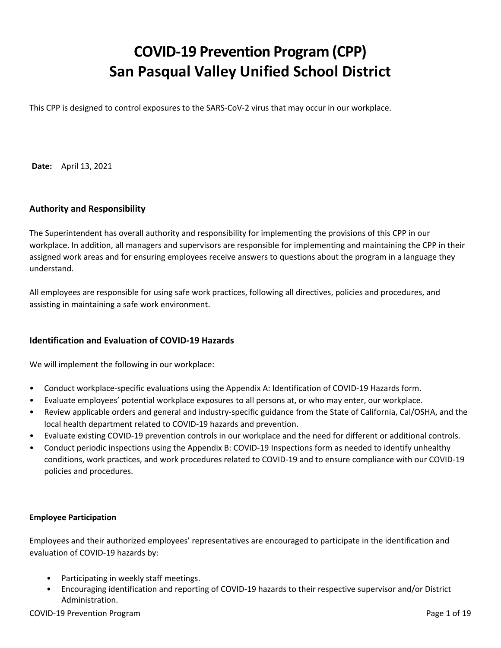# **COVID-19 Prevention Program (CPP) San Pasqual Valley Unified School District**

This CPP is designed to control exposures to the SARS-CoV-2 virus that may occur in our workplace.

**Date:** April 13, 2021

# **Authority and Responsibility**

The Superintendent has overall authority and responsibility for implementing the provisions of this CPP in our workplace. In addition, all managers and supervisors are responsible for implementing and maintaining the CPP in their assigned work areas and for ensuring employees receive answers to questions about the program in a language they understand.

All employees are responsible for using safe work practices, following all directives, policies and procedures, and assisting in maintaining a safe work environment.

#### **Identification and Evaluation of COVID-19 Hazards**

We will implement the following in our workplace:

- Conduct workplace-specific evaluations using the Appendix A: Identification of COVID-19 Hazards form.
- Evaluate employees' potential workplace exposures to all persons at, or who may enter, our workplace.
- Review applicable orders and general and industry-specific guidance from the State of California, Cal/OSHA, and the local health department related to COVID-19 hazards and prevention.
- Evaluate existing COVID-19 prevention controls in our workplace and the need for different or additional controls.
- Conduct periodic inspections using the Appendix B: COVID-19 Inspections form as needed to identify unhealthy conditions, work practices, and work procedures related to COVID-19 and to ensure compliance with our COVID-19 policies and procedures.

#### **Employee Participation**

Employees and their authorized employees' representatives are encouraged to participate in the identification and evaluation of COVID-19 hazards by:

- Participating in weekly staff meetings.
- Encouraging identification and reporting of COVID-19 hazards to their respective supervisor and/or District Administration.

#### COVID-19 Prevention Program **Program** Page 1 of 19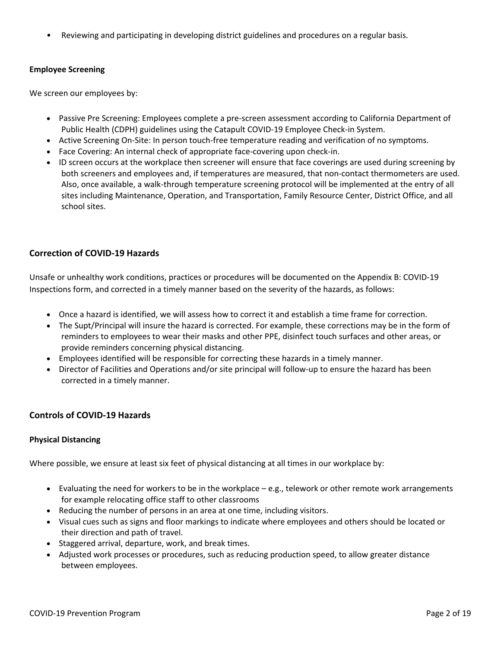• Reviewing and participating in developing district guidelines and procedures on a regular basis.

#### **Employee Screening**

We screen our employees by:

- Passive Pre Screening: Employees complete a pre-screen assessment according to California Department of Public Health (CDPH) guidelines using the Catapult COVID-19 Employee Check-in System.
- Active Screening On-Site: In person touch-free temperature reading and verification of no symptoms.
- Face Covering: An internal check of appropriate face-covering upon check-in.
- ID screen occurs at the workplace then screener will ensure that face coverings are used during screening by both screeners and employees and, if temperatures are measured, that non-contact thermometers are used. Also, once available, a walk-through temperature screening protocol will be implemented at the entry of all sites including Maintenance, Operation, and Transportation, Family Resource Center, District Office, and all school sites.

# **Correction of COVID-19 Hazards**

Unsafe or unhealthy work conditions, practices or procedures will be documented on the Appendix B: COVID-19 Inspections form, and corrected in a timely manner based on the severity of the hazards, as follows:

- Once a hazard is identified, we will assess how to correct it and establish a time frame for correction.
- The Supt/Principal will insure the hazard is corrected. For example, these corrections may be in the form of reminders to employees to wear their masks and other PPE, disinfect touch surfaces and other areas, or provide reminders concerning physical distancing.
- Employees identified will be responsible for correcting these hazards in a timely manner.
- Director of Facilities and Operations and/or site principal will follow-up to ensure the hazard has been corrected in a timely manner.

#### **Controls of COVID-19 Hazards**

#### **Physical Distancing**

Where possible, we ensure at least six feet of physical distancing at all times in our workplace by:

- Evaluating the need for workers to be in the workplace e.g., telework or other remote work arrangements for example relocating office staff to other classrooms
- Reducing the number of persons in an area at one time, including visitors.
- Visual cues such as signs and floor markings to indicate where employees and others should be located or their direction and path of travel.
- Staggered arrival, departure, work, and break times.
- Adjusted work processes or procedures, such as reducing production speed, to allow greater distance between employees.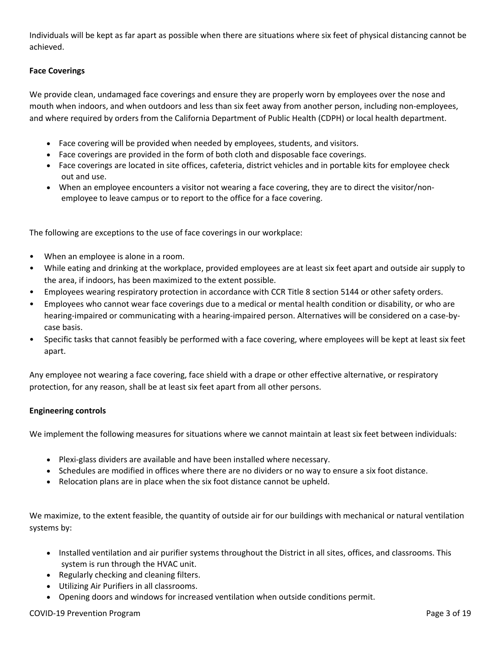Individuals will be kept as far apart as possible when there are situations where six feet of physical distancing cannot be achieved.

# **Face Coverings**

We provide clean, undamaged face coverings and ensure they are properly worn by employees over the nose and mouth when indoors, and when outdoors and less than six feet away from another person, including non-employees, and where required by orders from the California Department of Public Health (CDPH) or local health department.

- Face covering will be provided when needed by employees, students, and visitors.
- Face coverings are provided in the form of both cloth and disposable face coverings.
- Face coverings are located in site offices, cafeteria, district vehicles and in portable kits for employee check out and use.
- When an employee encounters a visitor not wearing a face covering, they are to direct the visitor/nonemployee to leave campus or to report to the office for a face covering.

The following are exceptions to the use of face coverings in our workplace:

- When an employee is alone in a room.
- While eating and drinking at the workplace, provided employees are at least six feet apart and outside air supply to the area, if indoors, has been maximized to the extent possible.
- Employees wearing respiratory protection in accordance with CCR Title 8 section 5144 or other safety orders.
- Employees who cannot wear face coverings due to a medical or mental health condition or disability, or who are hearing-impaired or communicating with a hearing-impaired person. Alternatives will be considered on a case-bycase basis.
- Specific tasks that cannot feasibly be performed with a face covering, where employees will be kept at least six feet apart.

Any employee not wearing a face covering, face shield with a drape or other effective alternative, or respiratory protection, for any reason, shall be at least six feet apart from all other persons.

#### **Engineering controls**

We implement the following measures for situations where we cannot maintain at least six feet between individuals:

- Plexi-glass dividers are available and have been installed where necessary.
- Schedules are modified in offices where there are no dividers or no way to ensure a six foot distance.
- Relocation plans are in place when the six foot distance cannot be upheld.

We maximize, to the extent feasible, the quantity of outside air for our buildings with mechanical or natural ventilation systems by:

- Installed ventilation and air purifier systems throughout the District in all sites, offices, and classrooms. This system is run through the HVAC unit.
- Regularly checking and cleaning filters.
- Utilizing Air Purifiers in all classrooms.
- Opening doors and windows for increased ventilation when outside conditions permit.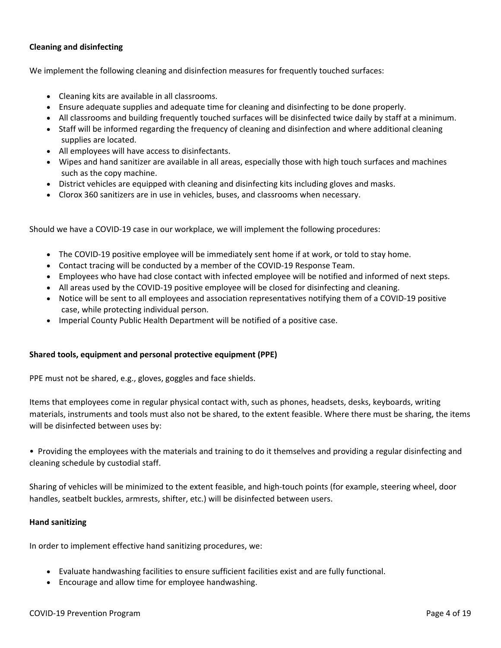## **Cleaning and disinfecting**

We implement the following cleaning and disinfection measures for frequently touched surfaces:

- Cleaning kits are available in all classrooms.
- Ensure adequate supplies and adequate time for cleaning and disinfecting to be done properly.
- All classrooms and building frequently touched surfaces will be disinfected twice daily by staff at a minimum.
- Staff will be informed regarding the frequency of cleaning and disinfection and where additional cleaning supplies are located.
- All employees will have access to disinfectants.
- Wipes and hand sanitizer are available in all areas, especially those with high touch surfaces and machines such as the copy machine.
- District vehicles are equipped with cleaning and disinfecting kits including gloves and masks.
- Clorox 360 sanitizers are in use in vehicles, buses, and classrooms when necessary.

Should we have a COVID-19 case in our workplace, we will implement the following procedures:

- The COVID-19 positive employee will be immediately sent home if at work, or told to stay home.
- Contact tracing will be conducted by a member of the COVID-19 Response Team.
- Employees who have had close contact with infected employee will be notified and informed of next steps.
- All areas used by the COVID-19 positive employee will be closed for disinfecting and cleaning.
- Notice will be sent to all employees and association representatives notifying them of a COVID-19 positive case, while protecting individual person.
- Imperial County Public Health Department will be notified of a positive case.

#### **Shared tools, equipment and personal protective equipment (PPE)**

PPE must not be shared, e.g., gloves, goggles and face shields.

Items that employees come in regular physical contact with, such as phones, headsets, desks, keyboards, writing materials, instruments and tools must also not be shared, to the extent feasible. Where there must be sharing, the items will be disinfected between uses by:

• Providing the employees with the materials and training to do it themselves and providing a regular disinfecting and cleaning schedule by custodial staff.

Sharing of vehicles will be minimized to the extent feasible, and high-touch points (for example, steering wheel, door handles, seatbelt buckles, armrests, shifter, etc.) will be disinfected between users.

#### **Hand sanitizing**

In order to implement effective hand sanitizing procedures, we:

- Evaluate handwashing facilities to ensure sufficient facilities exist and are fully functional.
- Encourage and allow time for employee handwashing.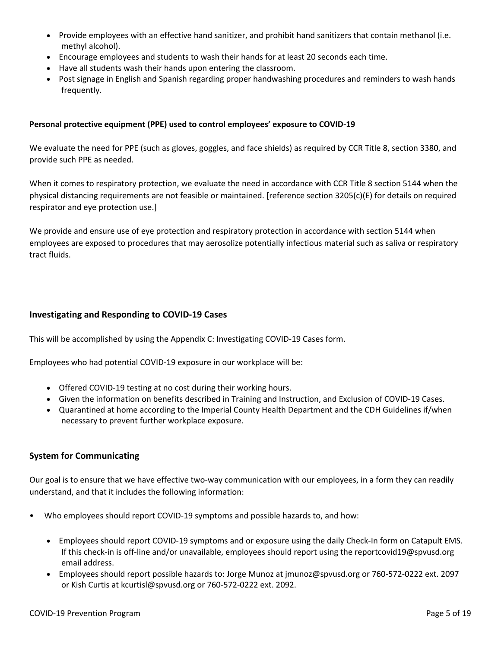- Provide employees with an effective hand sanitizer, and prohibit hand sanitizers that contain methanol (i.e. methyl alcohol).
- Encourage employees and students to wash their hands for at least 20 seconds each time.
- Have all students wash their hands upon entering the classroom.
- Post signage in English and Spanish regarding proper handwashing procedures and reminders to wash hands frequently.

#### **Personal protective equipment (PPE) used to control employees' exposure to COVID-19**

We evaluate the need for PPE (such as gloves, goggles, and face shields) as required by CCR Title 8, section 3380, and provide such PPE as needed.

When it comes to respiratory protection, we evaluate the need in accordance with CCR Title 8 section 5144 when the physical distancing requirements are not feasible or maintained. [reference section 3205(c)(E) for details on required respirator and eye protection use.]

We provide and ensure use of eye protection and respiratory protection in accordance with section 5144 when employees are exposed to procedures that may aerosolize potentially infectious material such as saliva or respiratory tract fluids.

#### **Investigating and Responding to COVID-19 Cases**

This will be accomplished by using the Appendix C: Investigating COVID-19 Cases form.

Employees who had potential COVID-19 exposure in our workplace will be:

- Offered COVID-19 testing at no cost during their working hours.
- Given the information on benefits described in Training and Instruction, and Exclusion of COVID-19 Cases.
- Quarantined at home according to the Imperial County Health Department and the CDH Guidelines if/when necessary to prevent further workplace exposure.

#### **System for Communicating**

Our goal is to ensure that we have effective two-way communication with our employees, in a form they can readily understand, and that it includes the following information:

- Who employees should report COVID-19 symptoms and possible hazards to, and how:
	- Employees should report COVID-19 symptoms and or exposure using the daily Check-In form on Catapult EMS. If this check-in is off-line and/or unavailable, employees should report using the reportcovid19@spvusd.org email address.
	- Employees should report possible hazards to: Jorge Munoz at jmunoz@spvusd.org or 760-572-0222 ext. 2097 or Kish Curtis at kcurtisl@spvusd.org or 760-572-0222 ext. 2092.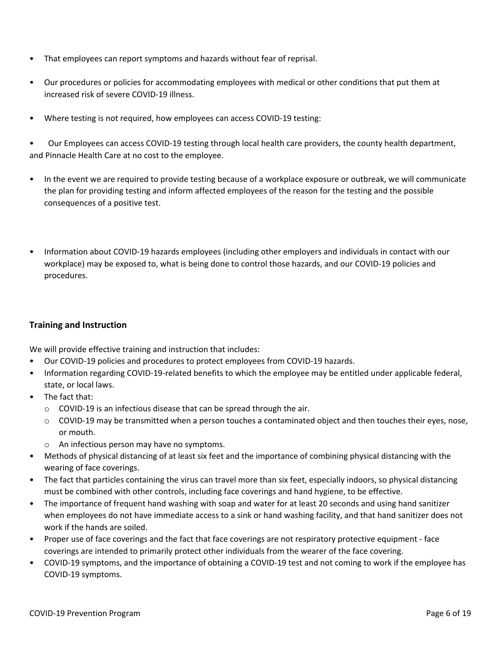- That employees can report symptoms and hazards without fear of reprisal.
- Our procedures or policies for accommodating employees with medical or other conditions that put them at increased risk of severe COVID-19 illness.
- Where testing is not required, how employees can access COVID-19 testing:

• Our Employees can access COVID-19 testing through local health care providers, the county health department, and Pinnacle Health Care at no cost to the employee.

- In the event we are required to provide testing because of a workplace exposure or outbreak, we will communicate the plan for providing testing and inform affected employees of the reason for the testing and the possible consequences of a positive test.
- Information about COVID-19 hazards employees (including other employers and individuals in contact with our workplace) may be exposed to, what is being done to control those hazards, and our COVID-19 policies and procedures.

# **Training and Instruction**

We will provide effective training and instruction that includes:

- Our COVID-19 policies and procedures to protect employees from COVID-19 hazards.
- Information regarding COVID-19-related benefits to which the employee may be entitled under applicable federal, state, or local laws.
- The fact that:
	- o COVID-19 is an infectious disease that can be spread through the air.
	- $\circ$  COVID-19 may be transmitted when a person touches a contaminated object and then touches their eyes, nose, or mouth.
	- o An infectious person may have no symptoms.
- Methods of physical distancing of at least six feet and the importance of combining physical distancing with the wearing of face coverings.
- The fact that particles containing the virus can travel more than six feet, especially indoors, so physical distancing must be combined with other controls, including face coverings and hand hygiene, to be effective.
- The importance of frequent hand washing with soap and water for at least 20 seconds and using hand sanitizer when employees do not have immediate access to a sink or hand washing facility, and that hand sanitizer does not work if the hands are soiled.
- Proper use of face coverings and the fact that face coverings are not respiratory protective equipment face coverings are intended to primarily protect other individuals from the wearer of the face covering.
- COVID-19 symptoms, and the importance of obtaining a COVID-19 test and not coming to work if the employee has COVID-19 symptoms.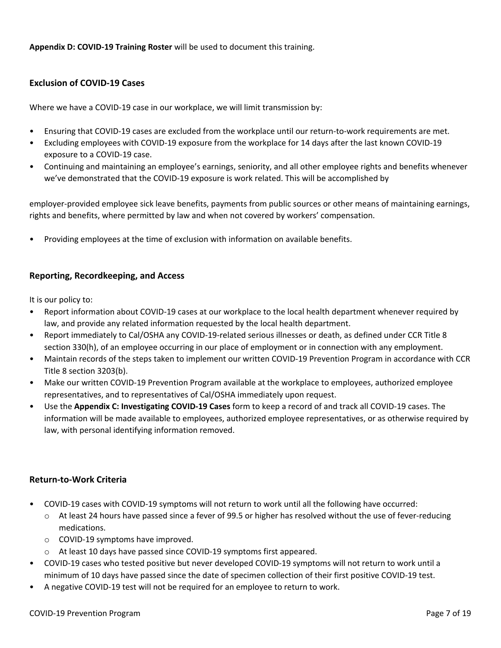**Appendix D: COVID-19 Training Roster** will be used to document this training.

# **Exclusion of COVID-19 Cases**

Where we have a COVID-19 case in our workplace, we will limit transmission by:

- Ensuring that COVID-19 cases are excluded from the workplace until our return-to-work requirements are met.
- Excluding employees with COVID-19 exposure from the workplace for 14 days after the last known COVID-19 exposure to a COVID-19 case.
- Continuing and maintaining an employee's earnings, seniority, and all other employee rights and benefits whenever we've demonstrated that the COVID-19 exposure is work related. This will be accomplished by

employer-provided employee sick leave benefits, payments from public sources or other means of maintaining earnings, rights and benefits, where permitted by law and when not covered by workers' compensation.

• Providing employees at the time of exclusion with information on available benefits.

# **Reporting, Recordkeeping, and Access**

It is our policy to:

- Report information about COVID-19 cases at our workplace to the local health department whenever required by law, and provide any related information requested by the local health department.
- Report immediately to Cal/OSHA any COVID-19-related serious illnesses or death, as defined under CCR Title 8 section 330(h), of an employee occurring in our place of employment or in connection with any employment.
- Maintain records of the steps taken to implement our written COVID-19 Prevention Program in accordance with CCR Title 8 section 3203(b).
- Make our written COVID-19 Prevention Program available at the workplace to employees, authorized employee representatives, and to representatives of Cal/OSHA immediately upon request.
- Use the **Appendix C: Investigating COVID-19 Cases** form to keep a record of and track all COVID-19 cases. The information will be made available to employees, authorized employee representatives, or as otherwise required by law, with personal identifying information removed.

# **Return-to-Work Criteria**

- COVID-19 cases with COVID-19 symptoms will not return to work until all the following have occurred:
	- $\circ$  At least 24 hours have passed since a fever of 99.5 or higher has resolved without the use of fever-reducing medications.
	- o COVID-19 symptoms have improved.
	- o At least 10 days have passed since COVID-19 symptoms first appeared.
- COVID-19 cases who tested positive but never developed COVID-19 symptoms will not return to work until a minimum of 10 days have passed since the date of specimen collection of their first positive COVID-19 test.
- A negative COVID-19 test will not be required for an employee to return to work.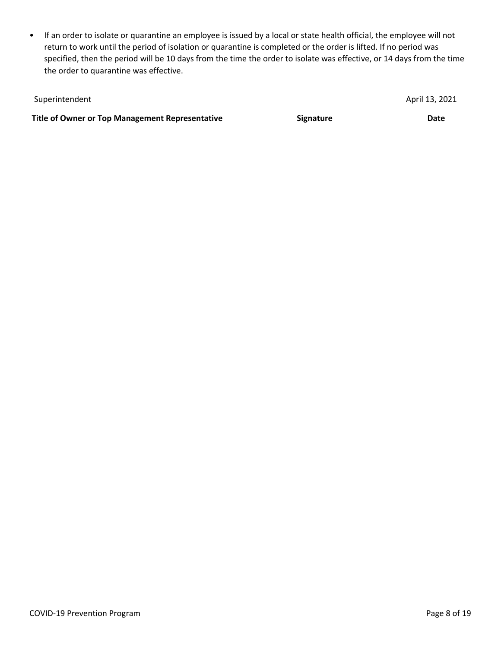• If an order to isolate or quarantine an employee is issued by a local or state health official, the employee will not return to work until the period of isolation or quarantine is completed or the order is lifted. If no period was specified, then the period will be 10 days from the time the order to isolate was effective, or 14 days from the time the order to quarantine was effective.

| Superintendent                                  |                  | April 13, 2021 |
|-------------------------------------------------|------------------|----------------|
| Title of Owner or Top Management Representative | <b>Signature</b> | Date           |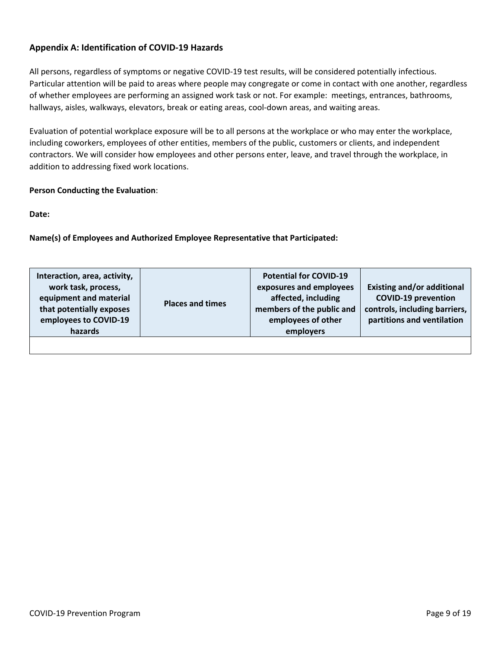# **Appendix A: Identification of COVID-19 Hazards**

All persons, regardless of symptoms or negative COVID-19 test results, will be considered potentially infectious. Particular attention will be paid to areas where people may congregate or come in contact with one another, regardless of whether employees are performing an assigned work task or not. For example: meetings, entrances, bathrooms, hallways, aisles, walkways, elevators, break or eating areas, cool-down areas, and waiting areas.

Evaluation of potential workplace exposure will be to all persons at the workplace or who may enter the workplace, including coworkers, employees of other entities, members of the public, customers or clients, and independent contractors. We will consider how employees and other persons enter, leave, and travel through the workplace, in addition to addressing fixed work locations.

#### **Person Conducting the Evaluation**:

**Date:**

**Name(s) of Employees and Authorized Employee Representative that Participated:**

| Interaction, area, activity,<br>work task, process,<br>equipment and material<br>that potentially exposes<br>employees to COVID-19<br>hazards | <b>Places and times</b> | <b>Potential for COVID-19</b><br>exposures and employees<br>affected, including<br>members of the public and<br>employees of other<br>employers | <b>Existing and/or additional</b><br><b>COVID-19 prevention</b><br>controls, including barriers,<br>partitions and ventilation |
|-----------------------------------------------------------------------------------------------------------------------------------------------|-------------------------|-------------------------------------------------------------------------------------------------------------------------------------------------|--------------------------------------------------------------------------------------------------------------------------------|
|                                                                                                                                               |                         |                                                                                                                                                 |                                                                                                                                |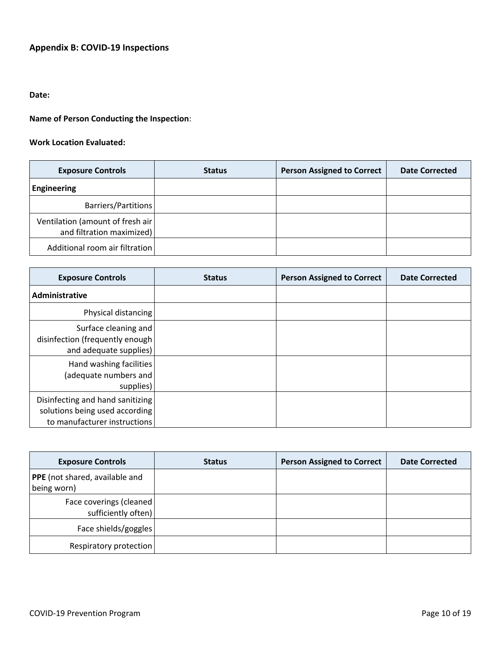# **Appendix B: COVID-19 Inspections**

# **Date:**

# **Name of Person Conducting the Inspection**:

#### **Work Location Evaluated:**

| <b>Exposure Controls</b>                                       | <b>Status</b> | <b>Person Assigned to Correct</b> | <b>Date Corrected</b> |
|----------------------------------------------------------------|---------------|-----------------------------------|-----------------------|
| Engineering                                                    |               |                                   |                       |
| Barriers/Partitions                                            |               |                                   |                       |
| Ventilation (amount of fresh air)<br>and filtration maximized) |               |                                   |                       |
| Additional room air filtration                                 |               |                                   |                       |

| <b>Exposure Controls</b>                                                                           | <b>Status</b> | <b>Person Assigned to Correct</b> | <b>Date Corrected</b> |
|----------------------------------------------------------------------------------------------------|---------------|-----------------------------------|-----------------------|
| Administrative                                                                                     |               |                                   |                       |
| Physical distancing                                                                                |               |                                   |                       |
| Surface cleaning and<br>disinfection (frequently enough<br>and adequate supplies)                  |               |                                   |                       |
| Hand washing facilities<br>(adequate numbers and<br>supplies)                                      |               |                                   |                       |
| Disinfecting and hand sanitizing<br>solutions being used according<br>to manufacturer instructions |               |                                   |                       |

| <b>Exposure Controls</b>                        | <b>Status</b> | <b>Person Assigned to Correct</b> | <b>Date Corrected</b> |
|-------------------------------------------------|---------------|-----------------------------------|-----------------------|
| PPE (not shared, available and<br>being worn)   |               |                                   |                       |
| Face coverings (cleaned)<br>sufficiently often) |               |                                   |                       |
| Face shields/goggles                            |               |                                   |                       |
| Respiratory protection                          |               |                                   |                       |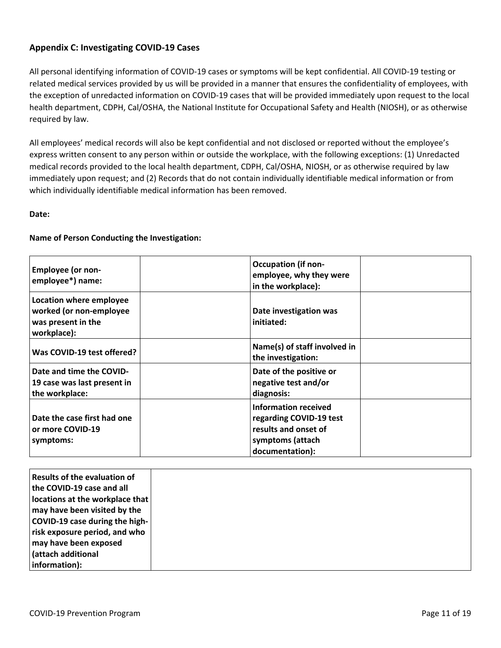# **Appendix C: Investigating COVID-19 Cases**

All personal identifying information of COVID-19 cases or symptoms will be kept confidential. All COVID-19 testing or related medical services provided by us will be provided in a manner that ensures the confidentiality of employees, with the exception of unredacted information on COVID-19 cases that will be provided immediately upon request to the local health department, CDPH, Cal/OSHA, the National Institute for Occupational Safety and Health (NIOSH), or as otherwise required by law.

All employees' medical records will also be kept confidential and not disclosed or reported without the employee's express written consent to any person within or outside the workplace, with the following exceptions: (1) Unredacted medical records provided to the local health department, CDPH, Cal/OSHA, NIOSH, or as otherwise required by law immediately upon request; and (2) Records that do not contain individually identifiable medical information or from which individually identifiable medical information has been removed.

#### **Date:**

#### **Name of Person Conducting the Investigation:**

| <b>Employee (or non-</b><br>employee*) name:                                            | <b>Occupation (if non-</b><br>employee, why they were<br>in the workplace):                                    |  |
|-----------------------------------------------------------------------------------------|----------------------------------------------------------------------------------------------------------------|--|
| Location where employee<br>worked (or non-employee<br>was present in the<br>workplace): | Date investigation was<br>initiated:                                                                           |  |
| Was COVID-19 test offered?                                                              | Name(s) of staff involved in<br>the investigation:                                                             |  |
| Date and time the COVID-<br>19 case was last present in<br>the workplace:               | Date of the positive or<br>negative test and/or<br>diagnosis:                                                  |  |
| Date the case first had one<br>or more COVID-19<br>symptoms:                            | Information received<br>regarding COVID-19 test<br>results and onset of<br>symptoms (attach<br>documentation): |  |

| Results of the evaluation of    |
|---------------------------------|
| the COVID-19 case and all       |
| locations at the workplace that |
| may have been visited by the    |
| COVID-19 case during the high-  |
| risk exposure period, and who   |
| may have been exposed           |
| <b>diatach additional</b>       |
| information):                   |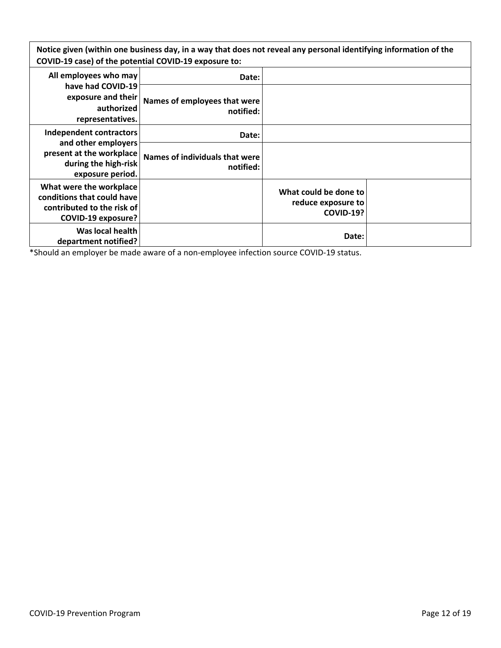Notice given (within one business day, in a way that does not reveal any personal identifying information of the **COVID-19 case) of the potential COVID-19 exposure to:**

| All employees who may                                                                                            | Date:                                       |                                                                 |  |
|------------------------------------------------------------------------------------------------------------------|---------------------------------------------|-----------------------------------------------------------------|--|
| have had COVID-19<br>exposure and their<br>authorized<br>representatives.                                        | Names of employees that were<br>notified:   |                                                                 |  |
| <b>Independent contractors</b>                                                                                   | Date:                                       |                                                                 |  |
| and other employers<br>present at the workplace<br>during the high-risk<br>exposure period.                      | Names of individuals that were<br>notified: |                                                                 |  |
| What were the workplace<br>conditions that could have<br>contributed to the risk of<br><b>COVID-19 exposure?</b> |                                             | What could be done to<br>reduce exposure to<br><b>COVID-19?</b> |  |
| Was local health<br>department notified?                                                                         |                                             | Date:                                                           |  |

\*Should an employer be made aware of a non-employee infection source COVID-19 status.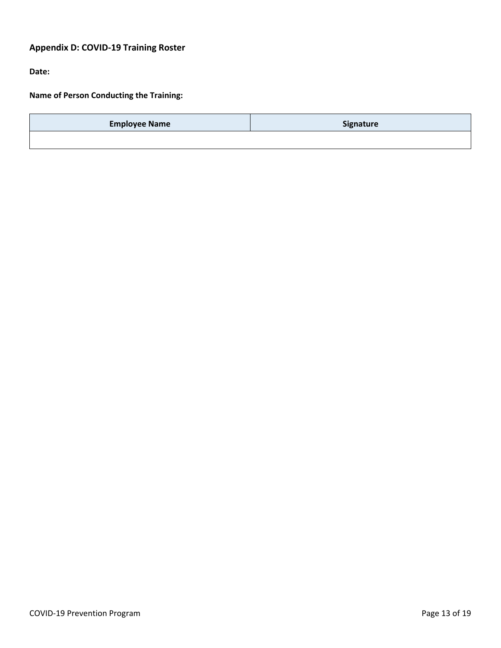# **Appendix D: COVID-19 Training Roster**

**Date:**

**Name of Person Conducting the Training:**

| <b>Employee Name</b> | <b>Signature</b> |
|----------------------|------------------|
|                      |                  |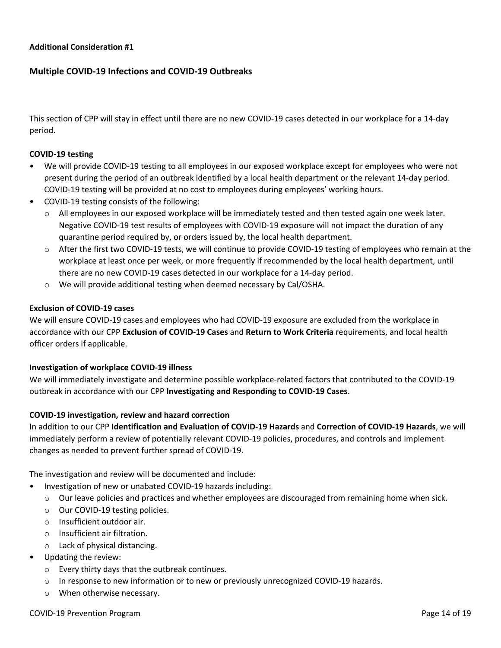## **Multiple COVID-19 Infections and COVID-19 Outbreaks**

This section of CPP will stay in effect until there are no new COVID-19 cases detected in our workplace for a 14-day period.

#### **COVID-19 testing**

- We will provide COVID-19 testing to all employees in our exposed workplace except for employees who were not present during the period of an outbreak identified by a local health department or the relevant 14-day period. COVID-19 testing will be provided at no cost to employees during employees' working hours.
- COVID-19 testing consists of the following:
	- $\circ$  All employees in our exposed workplace will be immediately tested and then tested again one week later. Negative COVID-19 test results of employees with COVID-19 exposure will not impact the duration of any quarantine period required by, or orders issued by, the local health department.
	- o After the first two COVID-19 tests, we will continue to provide COVID-19 testing of employees who remain at the workplace at least once per week, or more frequently if recommended by the local health department, until there are no new COVID-19 cases detected in our workplace for a 14-day period.
	- o We will provide additional testing when deemed necessary by Cal/OSHA.

#### **Exclusion of COVID-19 cases**

We will ensure COVID-19 cases and employees who had COVID-19 exposure are excluded from the workplace in accordance with our CPP **Exclusion of COVID-19 Cases** and **Return to Work Criteria** requirements, and local health officer orders if applicable.

#### **Investigation of workplace COVID-19 illness**

We will immediately investigate and determine possible workplace-related factors that contributed to the COVID-19 outbreak in accordance with our CPP **Investigating and Responding to COVID-19 Cases**.

#### **COVID-19 investigation, review and hazard correction**

In addition to our CPP **Identification and Evaluation of COVID-19 Hazards** and **Correction of COVID-19 Hazards**, we will immediately perform a review of potentially relevant COVID-19 policies, procedures, and controls and implement changes as needed to prevent further spread of COVID-19.

The investigation and review will be documented and include:

- Investigation of new or unabated COVID-19 hazards including:
	- o Our leave policies and practices and whether employees are discouraged from remaining home when sick.
	- o Our COVID-19 testing policies.
	- o Insufficient outdoor air.
	- o Insufficient air filtration.
	- o Lack of physical distancing.
- Updating the review:
	- o Every thirty days that the outbreak continues.
	- o In response to new information or to new or previously unrecognized COVID-19 hazards.
	- o When otherwise necessary.

#### COVID-19 Prevention Program **Page 14 of 19** and the covid-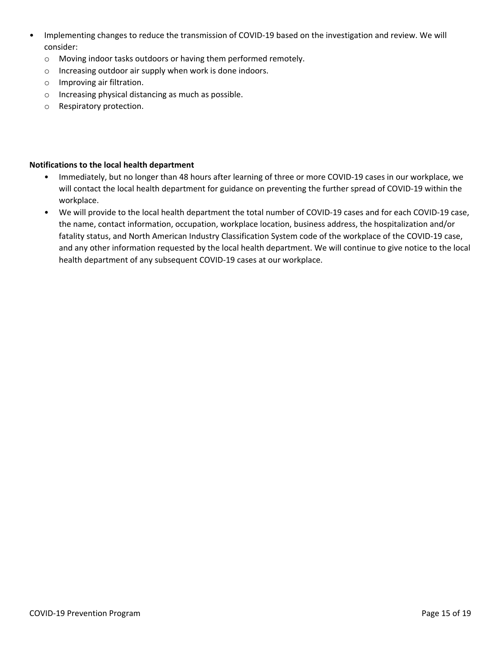- Implementing changes to reduce the transmission of COVID-19 based on the investigation and review. We will consider:
	- o Moving indoor tasks outdoors or having them performed remotely.
	- o Increasing outdoor air supply when work is done indoors.
	- o Improving air filtration.
	- o Increasing physical distancing as much as possible.
	- o Respiratory protection.

#### **Notifications to the local health department**

- Immediately, but no longer than 48 hours after learning of three or more COVID-19 cases in our workplace, we will contact the local health department for guidance on preventing the further spread of COVID-19 within the workplace.
- We will provide to the local health department the total number of COVID-19 cases and for each COVID-19 case, the name, contact information, occupation, workplace location, business address, the hospitalization and/or fatality status, and North American Industry Classification System code of the workplace of the COVID-19 case, and any other information requested by the local health department. We will continue to give notice to the local health department of any subsequent COVID-19 cases at our workplace.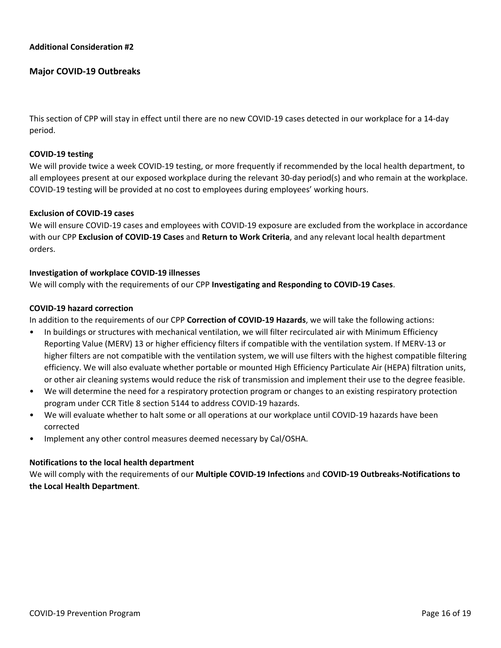## **Major COVID-19 Outbreaks**

This section of CPP will stay in effect until there are no new COVID-19 cases detected in our workplace for a 14-day period.

#### **COVID-19 testing**

We will provide twice a week COVID-19 testing, or more frequently if recommended by the local health department, to all employees present at our exposed workplace during the relevant 30-day period(s) and who remain at the workplace. COVID-19 testing will be provided at no cost to employees during employees' working hours.

#### **Exclusion of COVID-19 cases**

We will ensure COVID-19 cases and employees with COVID-19 exposure are excluded from the workplace in accordance with our CPP **Exclusion of COVID-19 Cases** and **Return to Work Criteria**, and any relevant local health department orders.

#### **Investigation of workplace COVID-19 illnesses**

We will comply with the requirements of our CPP **Investigating and Responding to COVID-19 Cases**.

#### **COVID-19 hazard correction**

In addition to the requirements of our CPP **Correction of COVID-19 Hazards**, we will take the following actions:

- In buildings or structures with mechanical ventilation, we will filter recirculated air with Minimum Efficiency Reporting Value (MERV) 13 or higher efficiency filters if compatible with the ventilation system. If MERV-13 or higher filters are not compatible with the ventilation system, we will use filters with the highest compatible filtering efficiency. We will also evaluate whether portable or mounted High Efficiency Particulate Air (HEPA) filtration units, or other air cleaning systems would reduce the risk of transmission and implement their use to the degree feasible.
- We will determine the need for a respiratory protection program or changes to an existing respiratory protection program under CCR Title 8 section 5144 to address COVID-19 hazards.
- We will evaluate whether to halt some or all operations at our workplace until COVID-19 hazards have been corrected
- Implement any other control measures deemed necessary by Cal/OSHA.

#### **Notifications to the local health department**

We will comply with the requirements of our **Multiple COVID-19 Infections** and **COVID-19 Outbreaks-Notifications to the Local Health Department**.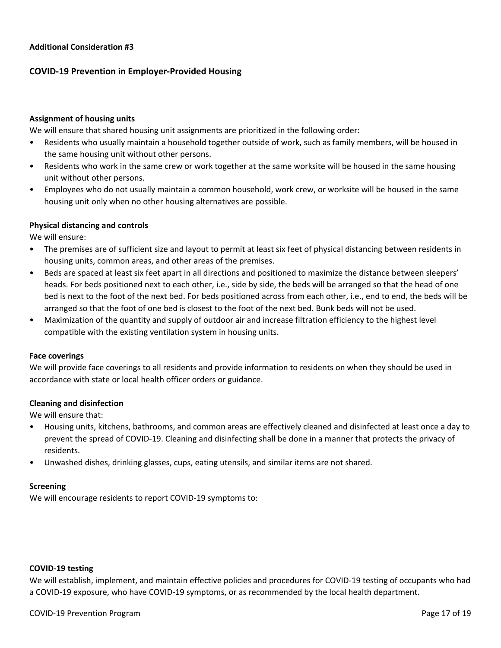# **COVID-19 Prevention in Employer-Provided Housing**

#### **Assignment of housing units**

We will ensure that shared housing unit assignments are prioritized in the following order:

- Residents who usually maintain a household together outside of work, such as family members, will be housed in the same housing unit without other persons.
- Residents who work in the same crew or work together at the same worksite will be housed in the same housing unit without other persons.
- Employees who do not usually maintain a common household, work crew, or worksite will be housed in the same housing unit only when no other housing alternatives are possible.

#### **Physical distancing and controls**

We will ensure:

- The premises are of sufficient size and layout to permit at least six feet of physical distancing between residents in housing units, common areas, and other areas of the premises.
- Beds are spaced at least six feet apart in all directions and positioned to maximize the distance between sleepers' heads. For beds positioned next to each other, i.e., side by side, the beds will be arranged so that the head of one bed is next to the foot of the next bed. For beds positioned across from each other, i.e., end to end, the beds will be arranged so that the foot of one bed is closest to the foot of the next bed. Bunk beds will not be used.
- Maximization of the quantity and supply of outdoor air and increase filtration efficiency to the highest level compatible with the existing ventilation system in housing units.

#### **Face coverings**

We will provide face coverings to all residents and provide information to residents on when they should be used in accordance with state or local health officer orders or guidance.

#### **Cleaning and disinfection**

We will ensure that:

- Housing units, kitchens, bathrooms, and common areas are effectively cleaned and disinfected at least once a day to prevent the spread of COVID-19. Cleaning and disinfecting shall be done in a manner that protects the privacy of residents.
- Unwashed dishes, drinking glasses, cups, eating utensils, and similar items are not shared.

#### **Screening**

We will encourage residents to report COVID-19 symptoms to:

#### **COVID-19 testing**

We will establish, implement, and maintain effective policies and procedures for COVID-19 testing of occupants who had a COVID-19 exposure, who have COVID-19 symptoms, or as recommended by the local health department.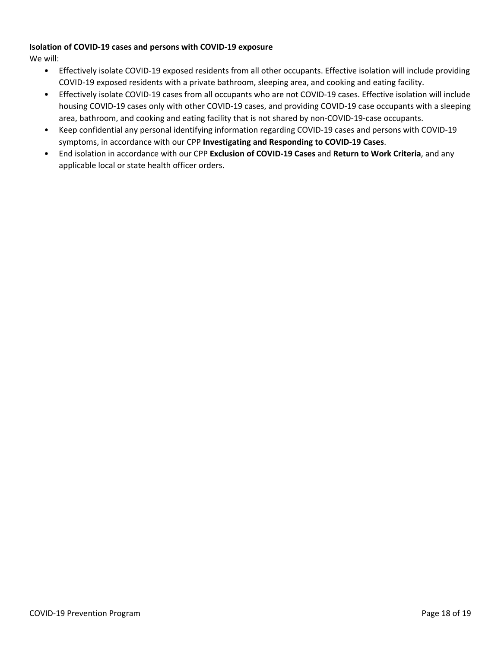## **Isolation of COVID-19 cases and persons with COVID-19 exposure**

We will:

- Effectively isolate COVID-19 exposed residents from all other occupants. Effective isolation will include providing COVID-19 exposed residents with a private bathroom, sleeping area, and cooking and eating facility.
- Effectively isolate COVID-19 cases from all occupants who are not COVID-19 cases. Effective isolation will include housing COVID-19 cases only with other COVID-19 cases, and providing COVID-19 case occupants with a sleeping area, bathroom, and cooking and eating facility that is not shared by non-COVID-19-case occupants.
- Keep confidential any personal identifying information regarding COVID-19 cases and persons with COVID-19 symptoms, in accordance with our CPP **Investigating and Responding to COVID-19 Cases**.
- End isolation in accordance with our CPP **Exclusion of COVID-19 Cases** and **Return to Work Criteria**, and any applicable local or state health officer orders.